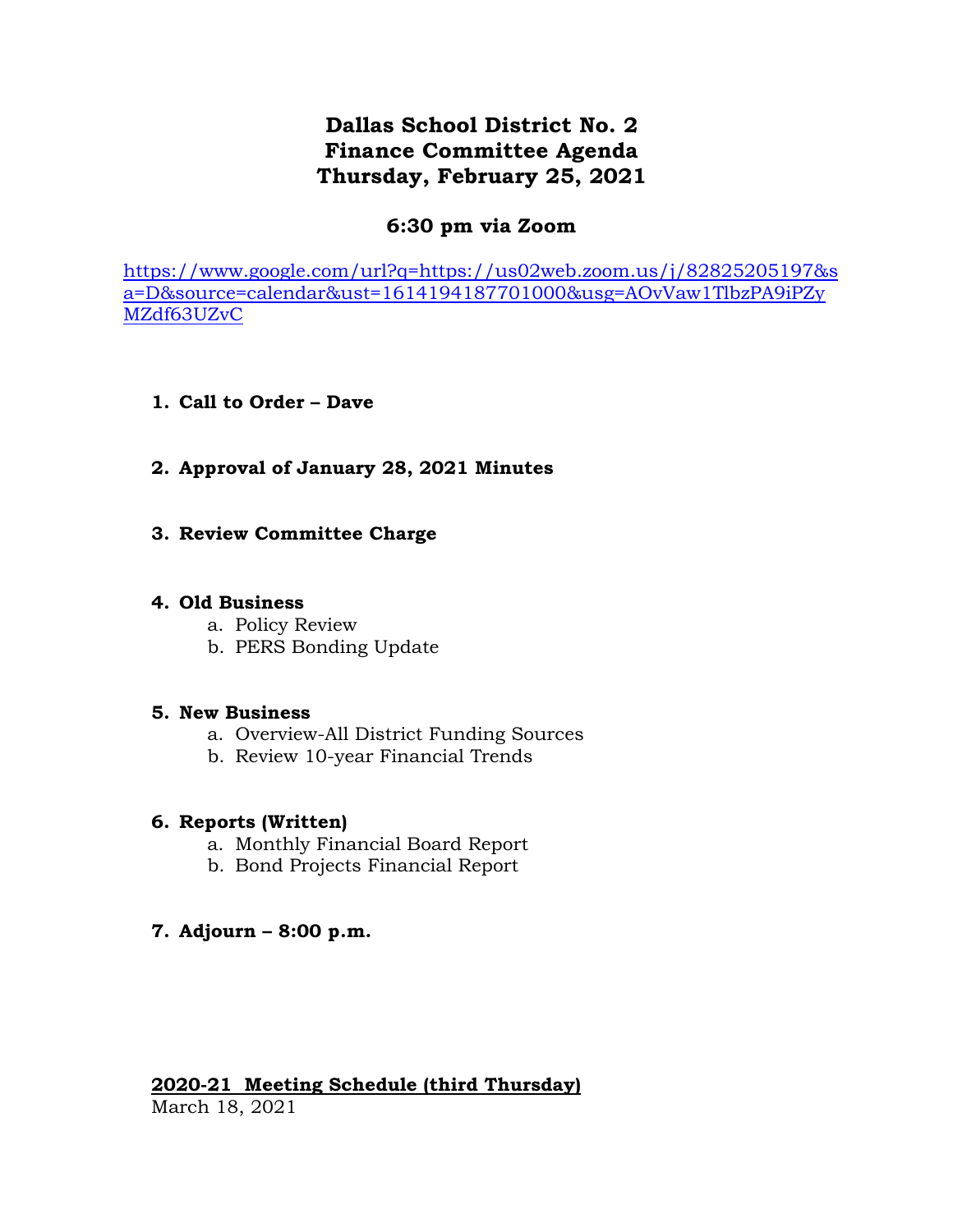## **Dallas School District No. 2 Finance Committee Agenda Thursday, February 25, 2021**

## **6:30 pm via Zoom**

[https://www.google.com/url?q=https://us02web.zoom.us/j/82825205197&s](https://www.google.com/url?q=https://us02web.zoom.us/j/82825205197&sa=D&source=calendar&ust=1614194187701000&usg=AOvVaw1TlbzPA9iPZyMZdf63UZvC) [a=D&source=calendar&ust=1614194187701000&usg=AOvVaw1TlbzPA9iPZy](https://www.google.com/url?q=https://us02web.zoom.us/j/82825205197&sa=D&source=calendar&ust=1614194187701000&usg=AOvVaw1TlbzPA9iPZyMZdf63UZvC) [MZdf63UZvC](https://www.google.com/url?q=https://us02web.zoom.us/j/82825205197&sa=D&source=calendar&ust=1614194187701000&usg=AOvVaw1TlbzPA9iPZyMZdf63UZvC)

- **1. Call to Order – Dave**
- **2. Approval of January 28, 2021 Minutes**
- **3. Review Committee Charge**

## **4. Old Business**

- a. Policy Review
- b. PERS Bonding Update

## **5. New Business**

- a. Overview-All District Funding Sources
- b. Review 10-year Financial Trends

## **6. Reports (Written)**

- a. Monthly Financial Board Report
- b. Bond Projects Financial Report
- **7. Adjourn – 8:00 p.m.**

# **2020-21 Meeting Schedule (third Thursday)**

March 18, 2021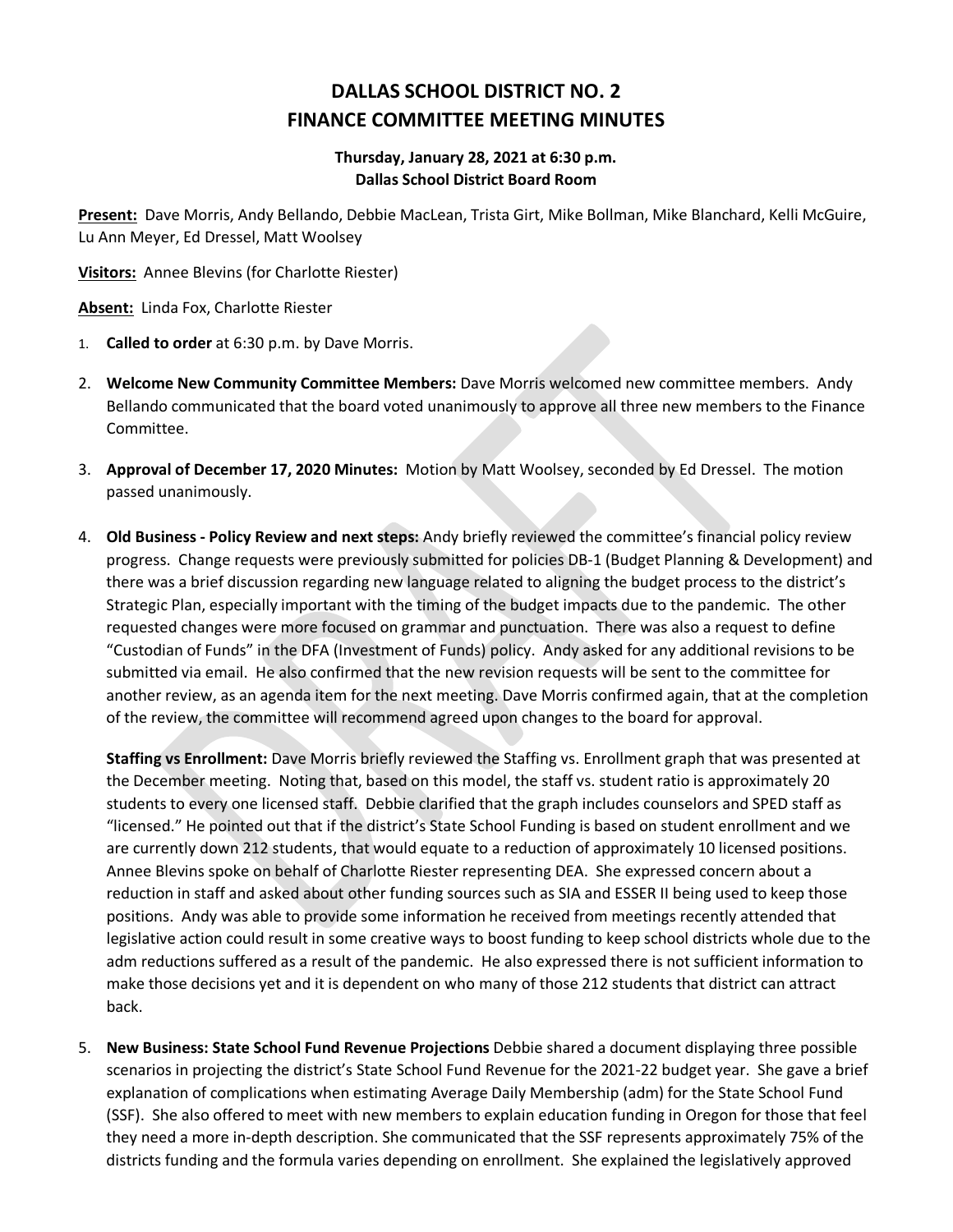## **DALLAS SCHOOL DISTRICT NO. 2 FINANCE COMMITTEE MEETING MINUTES**

### **Thursday, January 28, 2021 at 6:30 p.m. Dallas School District Board Room**

**Present:** Dave Morris, Andy Bellando, Debbie MacLean, Trista Girt, Mike Bollman, Mike Blanchard, Kelli McGuire, Lu Ann Meyer, Ed Dressel, Matt Woolsey

**Visitors:** Annee Blevins (for Charlotte Riester)

**Absent:** Linda Fox, Charlotte Riester

- 1. **Called to order** at 6:30 p.m. by Dave Morris.
- 2. **Welcome New Community Committee Members:** Dave Morris welcomed new committee members. Andy Bellando communicated that the board voted unanimously to approve all three new members to the Finance Committee.
- 3. **Approval of December 17, 2020 Minutes:** Motion by Matt Woolsey, seconded by Ed Dressel. The motion passed unanimously.
- 4. **Old Business - Policy Review and next steps:** Andy briefly reviewed the committee's financial policy review progress. Change requests were previously submitted for policies DB-1 (Budget Planning & Development) and there was a brief discussion regarding new language related to aligning the budget process to the district's Strategic Plan, especially important with the timing of the budget impacts due to the pandemic. The other requested changes were more focused on grammar and punctuation. There was also a request to define "Custodian of Funds" in the DFA (Investment of Funds) policy. Andy asked for any additional revisions to be submitted via email. He also confirmed that the new revision requests will be sent to the committee for another review, as an agenda item for the next meeting. Dave Morris confirmed again, that at the completion of the review, the committee will recommend agreed upon changes to the board for approval.

**Staffing vs Enrollment:** Dave Morris briefly reviewed the Staffing vs. Enrollment graph that was presented at the December meeting. Noting that, based on this model, the staff vs. student ratio is approximately 20 students to every one licensed staff. Debbie clarified that the graph includes counselors and SPED staff as "licensed." He pointed out that if the district's State School Funding is based on student enrollment and we are currently down 212 students, that would equate to a reduction of approximately 10 licensed positions. Annee Blevins spoke on behalf of Charlotte Riester representing DEA. She expressed concern about a reduction in staff and asked about other funding sources such as SIA and ESSER II being used to keep those positions. Andy was able to provide some information he received from meetings recently attended that legislative action could result in some creative ways to boost funding to keep school districts whole due to the adm reductions suffered as a result of the pandemic. He also expressed there is not sufficient information to make those decisions yet and it is dependent on who many of those 212 students that district can attract back.

5. **New Business: State School Fund Revenue Projections** Debbie shared a document displaying three possible scenarios in projecting the district's State School Fund Revenue for the 2021-22 budget year. She gave a brief explanation of complications when estimating Average Daily Membership (adm) for the State School Fund (SSF). She also offered to meet with new members to explain education funding in Oregon for those that feel they need a more in-depth description. She communicated that the SSF represents approximately 75% of the districts funding and the formula varies depending on enrollment. She explained the legislatively approved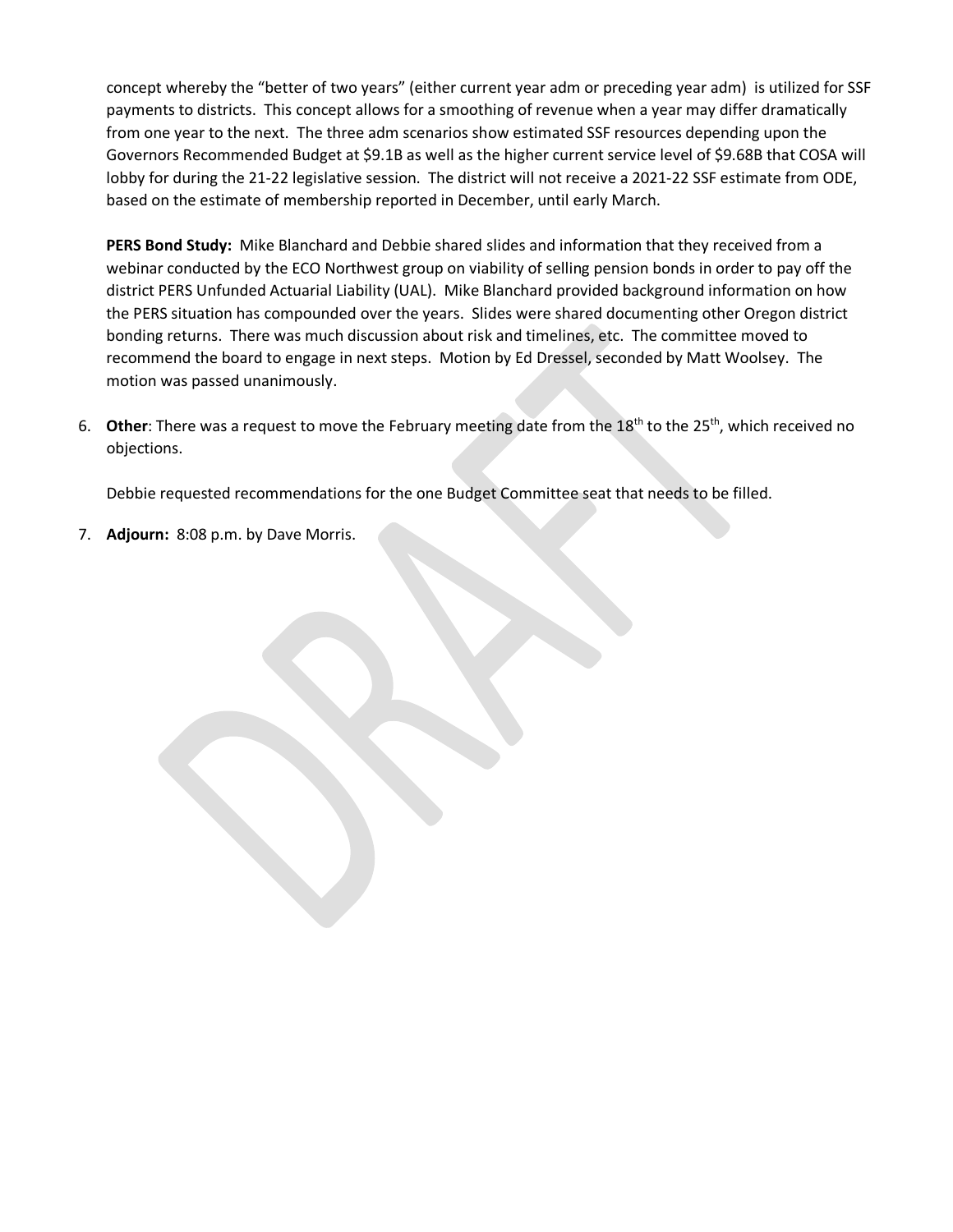concept whereby the "better of two years" (either current year adm or preceding year adm) is utilized for SSF payments to districts. This concept allows for a smoothing of revenue when a year may differ dramatically from one year to the next. The three adm scenarios show estimated SSF resources depending upon the Governors Recommended Budget at \$9.1B as well as the higher current service level of \$9.68B that COSA will lobby for during the 21-22 legislative session. The district will not receive a 2021-22 SSF estimate from ODE, based on the estimate of membership reported in December, until early March.

**PERS Bond Study:** Mike Blanchard and Debbie shared slides and information that they received from a webinar conducted by the ECO Northwest group on viability of selling pension bonds in order to pay off the district PERS Unfunded Actuarial Liability (UAL). Mike Blanchard provided background information on how the PERS situation has compounded over the years. Slides were shared documenting other Oregon district bonding returns. There was much discussion about risk and timelines, etc. The committee moved to recommend the board to engage in next steps. Motion by Ed Dressel, seconded by Matt Woolsey. The motion was passed unanimously.

6. **Other**: There was a request to move the February meeting date from the 18<sup>th</sup> to the 25<sup>th</sup>, which received no objections.

Debbie requested recommendations for the one Budget Committee seat that needs to be filled.

7. **Adjourn:** 8:08 p.m. by Dave Morris.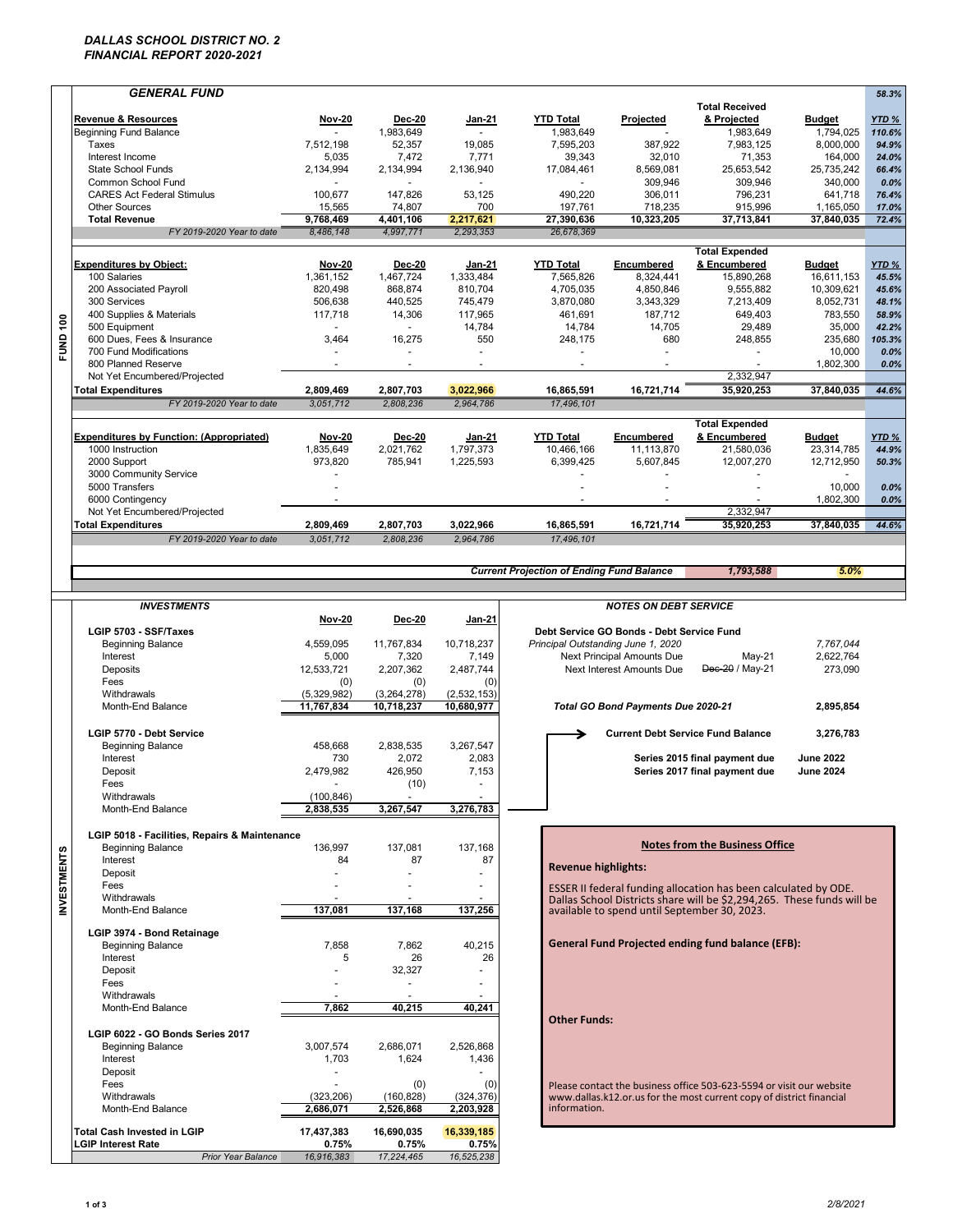### *DALLAS SCHOOL DISTRICT NO. 2 FINANCIAL REPORT 2020-2021*

|                        | <b>GENERAL FUND</b>                                    |                      |                     |                          |                                                  |                                           |                                                                        |                  | 58.3%            |
|------------------------|--------------------------------------------------------|----------------------|---------------------|--------------------------|--------------------------------------------------|-------------------------------------------|------------------------------------------------------------------------|------------------|------------------|
|                        |                                                        |                      |                     |                          |                                                  |                                           | <b>Total Received</b>                                                  |                  |                  |
|                        | <b>Revenue &amp; Resources</b>                         | <b>Nov-20</b>        | <b>Dec-20</b>       | Jan-21                   | <b>YTD Total</b>                                 | Projected                                 | & Projected                                                            | <b>Budget</b>    | YTD %            |
|                        | <b>Beginning Fund Balance</b>                          |                      | 1.983.649           |                          | 1,983,649                                        |                                           | 1,983,649                                                              | 1,794,025        | 110.6%           |
|                        | Taxes                                                  | 7,512,198            | 52,357              | 19,085                   | 7,595,203                                        | 387,922                                   | 7,983,125                                                              | 8,000,000        | 94.9%            |
|                        | Interest Income                                        | 5,035                | 7,472               | 7,771                    | 39,343                                           | 32,010                                    | 71,353                                                                 | 164,000          | 24.0%            |
|                        | <b>State School Funds</b>                              | 2,134,994            | 2,134,994           | 2,136,940                | 17,084,461                                       | 8,569,081                                 | 25,653,542                                                             | 25,735,242       | 66.4%            |
|                        | Common School Fund                                     |                      |                     |                          |                                                  | 309,946                                   | 309,946                                                                | 340,000          | 0.0%             |
|                        | <b>CARES Act Federal Stimulus</b>                      | 100,677              | 147,826             | 53,125                   | 490,220                                          | 306,011                                   | 796,231                                                                | 641,718          | 76.4%            |
|                        | <b>Other Sources</b>                                   | 15,565               | 74,807              | 700                      | 197,761                                          | 718,235                                   | 915,996                                                                | 1,165,050        | 17.0%            |
|                        | <b>Total Revenue</b>                                   | 9,768,469            | 4,401,106           | 2,217,621                | 27,390,636                                       | 10,323,205                                | 37,713,841                                                             | 37,840,035       | 72.4%            |
|                        | FY 2019-2020 Year to date                              | 8.486.148            | 4,997,771           | 2,293,353                | 26,678,369                                       |                                           |                                                                        |                  |                  |
|                        |                                                        |                      |                     |                          |                                                  |                                           |                                                                        |                  |                  |
|                        |                                                        |                      |                     |                          |                                                  |                                           | <b>Total Expended</b>                                                  |                  |                  |
|                        | <b>Expenditures by Object:</b>                         | <b>Nov-20</b>        | <b>Dec-20</b>       | Jan-21                   | <b>YTD Total</b>                                 | Encumbered                                | & Encumbered                                                           | <b>Budget</b>    | YTD <sub>%</sub> |
|                        | 100 Salaries                                           | 1,361,152            | 1,467,724           | 1,333,484                | 7,565,826                                        | 8,324,441                                 | 15,890,268                                                             | 16,611,153       | 45.5%            |
|                        | 200 Associated Payroll                                 | 820,498              | 868,874             | 810,704                  | 4,705,035                                        | 4,850,846                                 | 9,555,882                                                              | 10,309,621       | 45.6%            |
|                        | 300 Services                                           | 506,638              | 440,525             | 745,479                  | 3.870.080                                        | 3.343.329                                 | 7,213,409                                                              | 8,052,731        | 48.1%            |
|                        | 400 Supplies & Materials                               | 117,718              | 14,306              | 117,965                  | 461,691                                          | 187,712                                   | 649,403                                                                | 783,550          | 58.9%            |
| $\frac{6}{100}$        | 500 Equipment                                          |                      | $\blacksquare$      | 14,784                   | 14,784                                           | 14,705                                    | 29,489                                                                 | 35,000           | 42.2%            |
|                        | 600 Dues, Fees & Insurance                             | 3,464                | 16,275              | 550                      | 248,175                                          | 680                                       | 248,855                                                                | 235,680          | 105.3%           |
| 吕                      | 700 Fund Modifications                                 |                      |                     | $\overline{\phantom{a}}$ |                                                  |                                           |                                                                        | 10,000           | 0.0%             |
|                        | 800 Planned Reserve                                    |                      | $\blacksquare$      | $\sim$                   |                                                  |                                           |                                                                        | 1,802,300        | 0.0%             |
|                        | Not Yet Encumbered/Projected                           |                      |                     |                          |                                                  |                                           | 2,332,947                                                              |                  |                  |
|                        |                                                        |                      |                     |                          |                                                  |                                           |                                                                        | 37.840.035       |                  |
|                        | <b>Total Expenditures</b>                              | 2,809,469            | 2,807,703           | 3,022,966                | 16.865.591                                       | 16,721,714                                | 35,920,253                                                             |                  | 44.6%            |
|                        | FY 2019-2020 Year to date                              | 3,051,712            | 2,808,236           | 2,964,786                | 17,496,101                                       |                                           |                                                                        |                  |                  |
|                        |                                                        |                      |                     |                          |                                                  |                                           | <b>Total Expended</b>                                                  |                  |                  |
|                        |                                                        |                      |                     |                          | <b>YTD Total</b>                                 |                                           |                                                                        |                  |                  |
|                        | <b>Expenditures by Function: (Appropriated)</b>        | Nov-20               | <b>Dec-20</b>       | Jan-21                   |                                                  | Encumbered                                | & Encumbered                                                           | <b>Budget</b>    | YTD %            |
|                        | 1000 Instruction                                       | 1,835,649            | 2,021,762           | 1,797,373                | 10,466,166                                       | 11,113,870                                | 21,580,036                                                             | 23,314,785       | 44.9%            |
|                        | 2000 Support                                           | 973,820              | 785,941             | 1,225,593                | 6,399,425                                        | 5,607,845                                 | 12,007,270                                                             | 12,712,950       | 50.3%            |
|                        | 3000 Community Service                                 |                      |                     |                          |                                                  |                                           |                                                                        |                  |                  |
|                        | 5000 Transfers                                         |                      |                     |                          |                                                  |                                           |                                                                        | 10,000           | 0.0%             |
|                        | 6000 Contingency                                       | $\ddot{\phantom{1}}$ |                     |                          | $\ddot{\phantom{1}}$                             |                                           |                                                                        | 1,802,300        | 0.0%             |
|                        | Not Yet Encumbered/Projected                           |                      |                     |                          |                                                  |                                           | 2,332,947                                                              |                  |                  |
|                        | <b>Total Expenditures</b>                              | 2,809,469            | 2,807,703           | 3,022,966                | 16,865,591                                       | 16,721,714                                | 35,920,253                                                             | 37,840,035       | 44.6%            |
|                        | FY 2019-2020 Year to date                              | 3,051,712            | 2,808,236           | 2,964,786                | 17,496,101                                       |                                           |                                                                        |                  |                  |
|                        |                                                        |                      |                     |                          |                                                  |                                           |                                                                        |                  |                  |
|                        |                                                        |                      |                     |                          |                                                  |                                           |                                                                        |                  |                  |
|                        |                                                        |                      |                     |                          | <b>Current Projection of Ending Fund Balance</b> |                                           | 1,793,588                                                              | 5.0%             |                  |
|                        |                                                        |                      |                     |                          |                                                  |                                           |                                                                        |                  |                  |
|                        | <b>INVESTMENTS</b>                                     |                      |                     |                          |                                                  | <b>NOTES ON DEBT SERVICE</b>              |                                                                        |                  |                  |
|                        |                                                        | <b>Nov-20</b>        | <b>Dec-20</b>       | <b>Jan-21</b>            |                                                  |                                           |                                                                        |                  |                  |
|                        | LGIP 5703 - SSF/Taxes                                  |                      |                     |                          |                                                  | Debt Service GO Bonds - Debt Service Fund |                                                                        |                  |                  |
|                        |                                                        |                      |                     |                          |                                                  |                                           |                                                                        |                  |                  |
|                        |                                                        |                      |                     |                          |                                                  |                                           |                                                                        |                  |                  |
|                        | <b>Beginning Balance</b>                               | 4,559,095            | 11,767,834          | 10,718,237               | Principal Outstanding June 1, 2020               |                                           |                                                                        | 7,767,044        |                  |
|                        | Interest                                               | 5,000                | 7,320               | 7,149                    |                                                  | Next Principal Amounts Due                | May-21                                                                 | 2,622,764        |                  |
|                        | Deposits                                               | 12,533,721           | 2,207,362           | 2,487,744                |                                                  | Next Interest Amounts Due                 | Dec-20 / May-21                                                        | 273,090          |                  |
|                        | Fees                                                   | (0)                  | (0)                 | (0)                      |                                                  |                                           |                                                                        |                  |                  |
|                        | Withdrawals                                            | (5,329,982)          | (3,264,278)         | (2,532,153)              |                                                  |                                           |                                                                        |                  |                  |
|                        | Month-End Balance                                      | 11,767,834           | 10,718,237          | 10,680,977               |                                                  | Total GO Bond Payments Due 2020-21        |                                                                        | 2,895,854        |                  |
|                        |                                                        |                      |                     |                          |                                                  |                                           |                                                                        |                  |                  |
|                        | LGIP 5770 - Debt Service                               |                      |                     |                          |                                                  |                                           | <b>Current Debt Service Fund Balance</b>                               | 3,276,783        |                  |
|                        | <b>Beginning Balance</b>                               | 458,668              | 2,838,535           | 3,267,547                |                                                  |                                           |                                                                        |                  |                  |
|                        | Interest                                               | 730                  | 2,072               | 2,083                    |                                                  |                                           | Series 2015 final payment due                                          | <b>June 2022</b> |                  |
|                        | Deposit                                                | 2,479,982            | 426,950             |                          |                                                  |                                           |                                                                        | <b>June 2024</b> |                  |
|                        |                                                        | $\blacksquare$       |                     | 7,153                    |                                                  |                                           | Series 2017 final payment due                                          |                  |                  |
|                        | Fees                                                   |                      | (10)                |                          |                                                  |                                           |                                                                        |                  |                  |
|                        | Withdrawals                                            | (100, 846)           |                     |                          |                                                  |                                           |                                                                        |                  |                  |
|                        | Month-End Balance                                      | 2,838,535            | 3.267.547           | 3,276,783                |                                                  |                                           |                                                                        |                  |                  |
|                        |                                                        |                      |                     |                          |                                                  |                                           |                                                                        |                  |                  |
|                        | LGIP 5018 - Facilities, Repairs & Maintenance          |                      |                     |                          |                                                  |                                           |                                                                        |                  |                  |
|                        | <b>Beginning Balance</b>                               | 136,997              | 137,081             | 137,168                  |                                                  |                                           | <b>Notes from the Business Office</b>                                  |                  |                  |
|                        | Interest                                               | 84                   | 87                  | 87                       |                                                  |                                           |                                                                        |                  |                  |
|                        | Deposit                                                |                      |                     |                          | <b>Revenue highlights:</b>                       |                                           |                                                                        |                  |                  |
|                        | Fees                                                   |                      |                     |                          |                                                  |                                           | ESSER II federal funding allocation has been calculated by ODE.        |                  |                  |
|                        | Withdrawals                                            |                      |                     |                          |                                                  |                                           | Dallas School Districts share will be \$2,294,265. These funds will be |                  |                  |
|                        | Month-End Balance                                      | 137,081              | 137,168             | 137,256                  |                                                  |                                           | available to spend until September 30, 2023.                           |                  |                  |
| n<br><b>INVESTMENT</b> |                                                        |                      |                     |                          |                                                  |                                           |                                                                        |                  |                  |
|                        | LGIP 3974 - Bond Retainage                             |                      |                     |                          |                                                  |                                           |                                                                        |                  |                  |
|                        | <b>Beginning Balance</b>                               | 7,858                | 7,862               | 40,215                   |                                                  |                                           | <b>General Fund Projected ending fund balance (EFB):</b>               |                  |                  |
|                        | Interest                                               | 5                    | 26                  | 26                       |                                                  |                                           |                                                                        |                  |                  |
|                        | Deposit                                                |                      | 32,327              |                          |                                                  |                                           |                                                                        |                  |                  |
|                        | Fees                                                   |                      | ٠                   |                          |                                                  |                                           |                                                                        |                  |                  |
|                        | Withdrawals                                            |                      |                     |                          |                                                  |                                           |                                                                        |                  |                  |
|                        | Month-End Balance                                      | 7,862                | 40,215              | 40,241                   |                                                  |                                           |                                                                        |                  |                  |
|                        |                                                        |                      |                     |                          | <b>Other Funds:</b>                              |                                           |                                                                        |                  |                  |
|                        |                                                        |                      |                     |                          |                                                  |                                           |                                                                        |                  |                  |
|                        | LGIP 6022 - GO Bonds Series 2017                       |                      |                     |                          |                                                  |                                           |                                                                        |                  |                  |
|                        | <b>Beginning Balance</b>                               | 3,007,574            | 2,686,071           | 2,526,868                |                                                  |                                           |                                                                        |                  |                  |
|                        | Interest                                               | 1,703                | 1,624               | 1,436                    |                                                  |                                           |                                                                        |                  |                  |
|                        | Deposit                                                |                      |                     |                          |                                                  |                                           |                                                                        |                  |                  |
|                        | Fees                                                   |                      | (0)                 | (0)                      |                                                  |                                           | Please contact the business office 503-623-5594 or visit our website   |                  |                  |
|                        | Withdrawals                                            | (323, 206)           | (160, 828)          | (324, 376)               |                                                  |                                           | www.dallas.k12.or.us for the most current copy of district financial   |                  |                  |
|                        | Month-End Balance                                      | 2,686,071            | 2,526,868           | 2,203,928                | information.                                     |                                           |                                                                        |                  |                  |
|                        |                                                        |                      |                     |                          |                                                  |                                           |                                                                        |                  |                  |
|                        | <b>Total Cash Invested in LGIP</b>                     | 17,437,383           | 16,690,035          | 16,339,185               |                                                  |                                           |                                                                        |                  |                  |
|                        | <b>LGIP Interest Rate</b><br><b>Prior Year Balance</b> | 0.75%<br>16,916,383  | 0.75%<br>17,224,465 | 0.75%<br>16,525,238      |                                                  |                                           |                                                                        |                  |                  |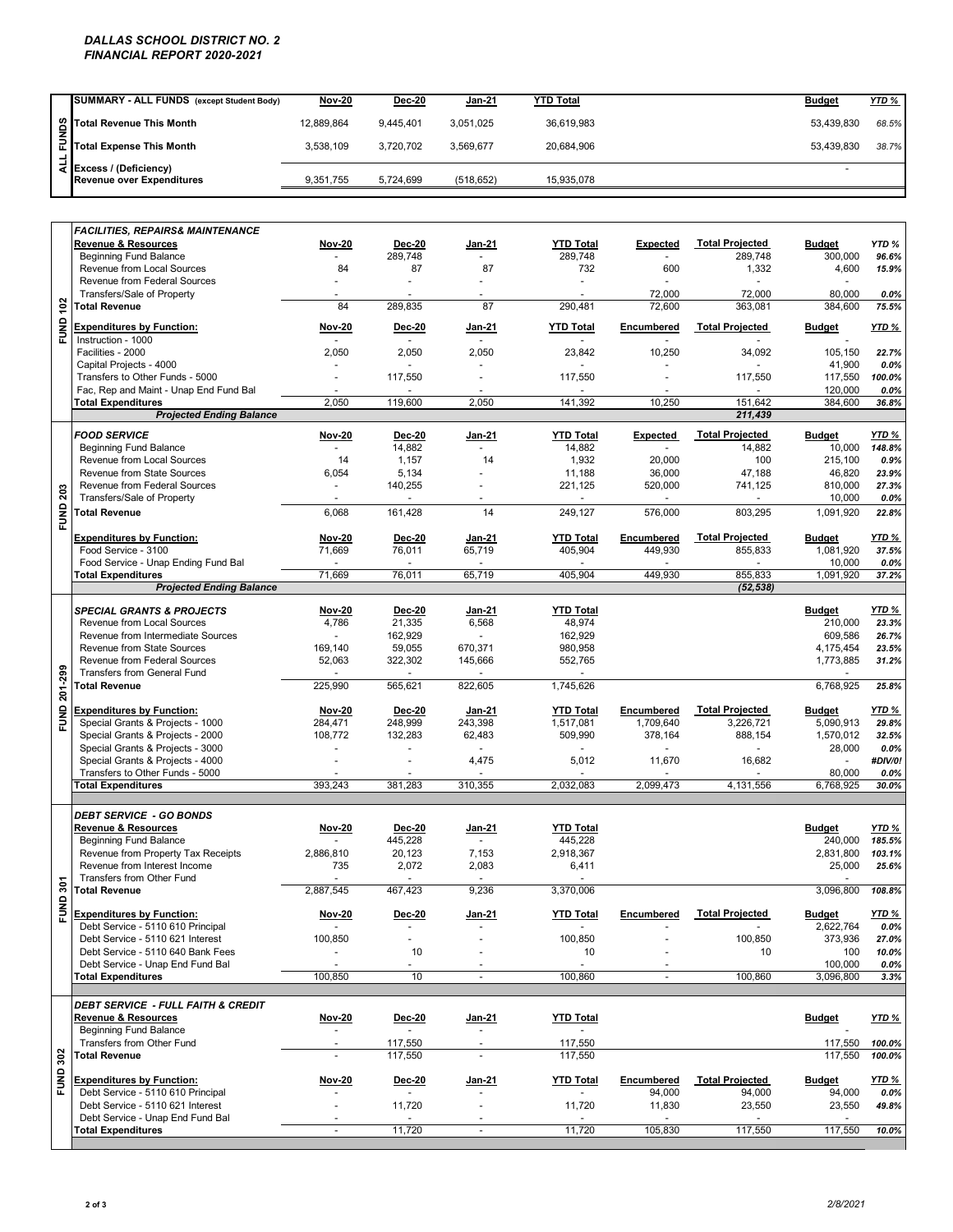### *DALLAS SCHOOL DISTRICT NO. 2 FINANCIAL REPORT 2020-2021*

|    | SUMMARY - ALL FUNDS (except Student Body)                        | <b>Nov-20</b> | <b>Dec-20</b> | <b>Jan-21</b> | <b>YTD Total</b> | <b>Budget</b> | <b>YTD %</b> |
|----|------------------------------------------------------------------|---------------|---------------|---------------|------------------|---------------|--------------|
|    |                                                                  | 12.889.864    | 9.445.401     | 3.051.025     | 36.619.983       | 53.439.830    | 68.5%        |
| ÷. | Soll Total Revenue This Month<br>Ell<br>Total Expense This Month | 3.538.109     | 3.720.702     | 3.569.677     | 20.684.906       | 53.439.830    | 38.7%        |
|    | 국 Excess / (Deficiency)<br><b>Revenue over Expenditures</b>      | 9,351,755     | 5.724.699     | (518.652)     | 15.935.078       |               |              |

|                 | Total Revenue This Month                                              | 12,889,864                                 | 9,445,401                                 | 3,051,025         | 36,619,983        |                    |                        | 53,439,830                  | 68.5%                   |
|-----------------|-----------------------------------------------------------------------|--------------------------------------------|-------------------------------------------|-------------------|-------------------|--------------------|------------------------|-----------------------------|-------------------------|
| FUNDS           | <b>Total Expense This Month</b>                                       | 3,538,109                                  | 3,720,702                                 | 3,569,677         | 20,684,906        |                    |                        | 53,439,830                  | 38.7%                   |
| $\frac{1}{4}$   | Excess / (Deficiency)                                                 |                                            |                                           |                   |                   |                    |                        | ÷                           |                         |
|                 | <b>Revenue over Expenditures</b>                                      | 9,351,755                                  | 5,724,699                                 | (518, 652)        | 15,935,078        |                    |                        |                             |                         |
|                 |                                                                       |                                            |                                           |                   |                   |                    |                        |                             |                         |
|                 | <b>FACILITIES, REPAIRS&amp; MAINTENANCE</b>                           |                                            |                                           |                   |                   |                    |                        |                             |                         |
|                 | <b>Revenue &amp; Resources</b>                                        | <b>Nov-20</b><br>$\mathbf{r}$              | <b>Dec-20</b>                             | Jan-21<br>$\sim$  | <b>YTD Total</b>  | Expected<br>$\sim$ | <b>Total Projected</b> | <b>Budget</b>               | YTD%                    |
|                 | <b>Beginning Fund Balance</b><br>Revenue from Local Sources           | 84                                         | 289,748<br>87                             | 87                | 289,748<br>732    | 600                | 289,748<br>1,332       | 300,000<br>4,600            | 96.6%<br>15.9%          |
|                 | Revenue from Federal Sources                                          |                                            |                                           |                   |                   |                    |                        |                             |                         |
|                 | Transfers/Sale of Property                                            | $\blacksquare$                             |                                           |                   |                   | 72,000             | 72,000                 | 80,000                      | $0.0\%$                 |
|                 | <b>Total Revenue</b>                                                  | 84                                         | 289,835                                   | 87                | 290,481           | 72,600             | 363,081                | 384,600                     | 75.5%                   |
| <b>FUND 102</b> | <b>Expenditures by Function:</b>                                      | Nov-20                                     | Dec-20                                    | <u>Jan-21</u>     | <b>YTD Total</b>  | Encumbered         | <b>Total Projected</b> | <b>Budget</b>               | YTD %                   |
|                 | Instruction - 1000                                                    | $\sim$                                     |                                           | $\sim$            |                   |                    |                        |                             |                         |
|                 | Facilities - 2000                                                     | 2,050                                      | 2,050                                     | 2,050             | 23,842            | 10,250             | 34,092                 | 105,150                     | 22.7%                   |
|                 | Capital Projects - 4000<br>Transfers to Other Funds - 5000            | $\blacksquare$                             | 117,550                                   | $\sim$            | 117,550           |                    | 117,550                | 41,900<br>117,550           | 0.0%<br>100.0%          |
|                 | Fac, Rep and Maint - Unap End Fund Bal                                |                                            |                                           |                   |                   |                    |                        | 120,000                     | 0.0%                    |
|                 | <b>Total Expenditures</b>                                             | 2,050                                      | 119,600                                   | 2,050             | 141,392           | 10,250             | 151,642                | 384,600                     | 36.8%                   |
|                 | <b>Projected Ending Balance</b>                                       |                                            |                                           |                   |                   |                    | 211,439                |                             |                         |
|                 | <b>FOOD SERVICE</b>                                                   | <b>Nov-20</b>                              | Dec-20                                    | Jan-21            | <b>YTD Total</b>  | <b>Expected</b>    | <b>Total Projected</b> | <b>Budget</b>               | <u>YTD %</u>            |
|                 | <b>Beginning Fund Balance</b>                                         | $\sim$                                     | 14,882                                    | $\sim$            | 14,882            |                    | 14,882                 | 10,000                      | 148.8%                  |
|                 | Revenue from Local Sources                                            | 14                                         | 1,157                                     | 14                | 1,932             | 20,000             | 100                    | 215,100                     | 0.9%                    |
|                 | Revenue from State Sources                                            | 6,054                                      | 5,134                                     |                   | 11,188            | 36,000             | 47,188                 | 46,820                      | 23.9%                   |
|                 | Revenue from Federal Sources<br>Transfers/Sale of Property            | $\blacksquare$<br>$\overline{\phantom{a}}$ | 140,255<br>$\overline{\phantom{a}}$       |                   | 221,125           | 520,000            | 741,125                | 810,000<br>10,000           | 27.3%<br>0.0%           |
| <b>FUND 203</b> | <b>Total Revenue</b>                                                  | 6,068                                      | 161,428                                   | 14                | 249,127           | 576.000            | 803,295                | 1,091,920                   | 22.8%                   |
|                 |                                                                       |                                            |                                           |                   |                   |                    |                        |                             |                         |
|                 | <b>Expenditures by Function:</b>                                      | <b>Nov-20</b>                              | Dec-20                                    | Jan-21            | <b>YTD Total</b>  | Encumbered         | <b>Total Projected</b> | <b>Budget</b>               | YTD %                   |
|                 | Food Service - 3100                                                   | 71,669                                     | 76,011                                    | 65,719            | 405,904           | 449,930            | 855,833                | 1.081.920                   | 37.5%                   |
|                 | Food Service - Unap Ending Fund Bal<br><b>Total Expenditures</b>      | 71,669                                     | 76,011                                    | 65,719            | 405,904           | 449,930            | 855,833                | 10,000<br>1,091,920         | 0.0%<br>37.2%           |
|                 | <b>Projected Ending Balance</b>                                       |                                            |                                           |                   |                   |                    | (52, 538)              |                             |                         |
|                 |                                                                       |                                            |                                           |                   |                   |                    |                        |                             |                         |
|                 | <b>SPECIAL GRANTS &amp; PROJECTS</b>                                  | <b>Nov-20</b>                              | <b>Dec-20</b>                             | Jan-21            | <b>YTD Total</b>  |                    |                        | <b>Budget</b>               | YTD <sub>%</sub>        |
|                 | Revenue from Local Sources<br>Revenue from Intermediate Sources       | 4,786                                      | 21,335<br>162,929                         | 6,568             | 48,974<br>162,929 |                    |                        | 210,000<br>609,586          | 23.3%<br>26.7%          |
|                 | Revenue from State Sources                                            | 169,140                                    | 59,055                                    | 670,371           | 980,958           |                    |                        | 4,175,454                   | 23.5%                   |
|                 | Revenue from Federal Sources                                          | 52,063                                     | 322,302                                   | 145,666           | 552,765           |                    |                        | 1,773,885                   | 31.2%                   |
|                 | <b>Transfers from General Fund</b>                                    |                                            |                                           |                   |                   |                    |                        |                             |                         |
| FUND 201-299    | <b>Total Revenue</b>                                                  | 225,990                                    | 565,621                                   | 822,605           | 1,745,626         |                    |                        | 6,768,925                   | 25.8%                   |
|                 | <b>Expenditures by Function:</b>                                      | <b>Nov-20</b>                              | Dec-20                                    | Jan-21            | <b>YTD Total</b>  | Encumbered         | <b>Total Projected</b> | <b>Budget</b>               | <u>YTD %</u>            |
|                 | Special Grants & Projects - 1000                                      | 284,471                                    | 248,999                                   | 243,398           | 1,517,081         | 1,709,640          | 3,226,721              | 5,090,913                   | 29.8%                   |
|                 | Special Grants & Projects - 2000                                      | 108,772                                    | 132,283                                   | 62,483            | 509,990           | 378,164            | 888,154                | 1,570,012                   | 32.5%                   |
|                 | Special Grants & Projects - 3000                                      |                                            |                                           |                   |                   |                    |                        | 28,000                      | 0.0%                    |
|                 | Special Grants & Projects - 4000                                      |                                            |                                           | 4,475             | 5,012             | 11,670             | 16,682                 | $\mathcal{L}_{\mathcal{A}}$ | #DIV/0!                 |
|                 | Transfers to Other Funds - 5000<br><b>Total Expenditures</b>          | 393,243                                    | 381,283                                   | 310,355           | 2,032,083         | 2.099.473          | 4,131,556              | 80,000<br>6.768.925         | $0.0\%$<br>30.0%        |
|                 |                                                                       |                                            |                                           |                   |                   |                    |                        |                             |                         |
|                 | <b>DEBT SERVICE - GO BONDS</b>                                        |                                            |                                           |                   |                   |                    |                        |                             |                         |
|                 | Revenue & Resources                                                   | Nov-20                                     | Dec-20                                    | <u>Jan-21</u>     | <b>YTD Total</b>  |                    |                        | <b>Budget</b>               | YTD %                   |
|                 | <b>Beginning Fund Balance</b>                                         |                                            | 445,228                                   | $\sim$            | 445,228           |                    |                        | 240,000                     | 185.5%                  |
|                 | Revenue from Property Tax Receipts                                    | 2,886,810                                  | 20,123                                    | 7,153             | 2,918,367         |                    |                        | 2,831,800                   | 103.1%                  |
|                 | Revenue from Interest Income<br>Transfers from Other Fund             | 735                                        | 2,072<br>$\sim$                           | 2,083<br>$\omega$ | 6,411             |                    |                        | 25,000                      | 25.6%                   |
| $\tilde{5}$     | <b>Total Revenue</b>                                                  | 2,887,545                                  | 467,423                                   | 9,236             | 3.370.006         |                    |                        | 3,096,800                   | 108.8%                  |
| FUND            |                                                                       |                                            |                                           |                   |                   |                    |                        |                             |                         |
|                 | <b>Expenditures by Function:</b><br>Debt Service - 5110 610 Principal | <b>Nov-20</b>                              | <b>Dec-20</b><br>$\overline{\phantom{a}}$ | <u>Jan-21</u>     | <b>YTD Total</b>  | Encumbered         | <b>Total Projected</b> | <b>Budget</b><br>2,622,764  | <u>YTD %</u><br>$0.0\%$ |
|                 | Debt Service - 5110 621 Interest                                      | 100,850                                    | $\overline{a}$                            |                   | 100,850           | $\overline{a}$     | 100,850                | 373,936                     | 27.0%                   |
|                 | Debt Service - 5110 640 Bank Fees                                     | ä,                                         | 10                                        |                   | 10                |                    | 10                     | 100                         | 10.0%                   |
|                 | Debt Service - Unap End Fund Bal                                      | $\overline{\phantom{a}}$                   |                                           |                   |                   |                    |                        | 100,000                     | $0.0\%$                 |
|                 | <b>Total Expenditures</b>                                             | 100,850                                    | 10                                        | $\overline{a}$    | 100,860           | $\blacksquare$     | 100,860                | 3,096,800                   | 3.3%                    |
|                 | <b>DEBT SERVICE - FULL FAITH &amp; CREDIT</b>                         |                                            |                                           |                   |                   |                    |                        |                             |                         |
|                 | <b>Revenue &amp; Resources</b>                                        | Nov-20                                     | <b>Dec-20</b>                             | <u>Jan-21</u>     | <b>YTD Total</b>  |                    |                        | <b>Budget</b>               | YTD %                   |
|                 | <b>Beginning Fund Balance</b>                                         | $\sim$                                     | $\omega$                                  | $\sim$            | ÷.                |                    |                        |                             |                         |
|                 | Transfers from Other Fund                                             |                                            | 117,550                                   |                   | 117,550           |                    |                        | 117,550                     | 100.0%                  |
| <b>FUND 302</b> | <b>Total Revenue</b>                                                  |                                            | 117,550                                   | $\overline{a}$    | 117,550           |                    |                        | 117,550                     | 100.0%                  |
|                 | <b>Expenditures by Function:</b>                                      | <b>Nov-20</b>                              | Dec-20                                    | Jan-21            | <b>YTD Total</b>  | Encumbered         | <b>Total Projected</b> | <b>Budget</b>               | <u>YTD %</u>            |
|                 | Debt Service - 5110 610 Principal                                     |                                            |                                           |                   |                   | 94,000             | 94,000                 | 94,000                      | $0.0\%$                 |
|                 | Debt Service - 5110 621 Interest                                      |                                            | 11,720                                    |                   | 11,720            | 11,830             | 23,550                 | 23,550                      | 49.8%                   |
|                 | Debt Service - Unap End Fund Bal                                      |                                            |                                           |                   |                   |                    |                        |                             |                         |
|                 | <b>Total Expenditures</b>                                             | $\overline{a}$                             | 11,720                                    | $\omega$          | 11,720            | 105,830            | 117,550                | 117,550                     | 10.0%                   |
|                 |                                                                       |                                            |                                           |                   |                   |                    |                        |                             |                         |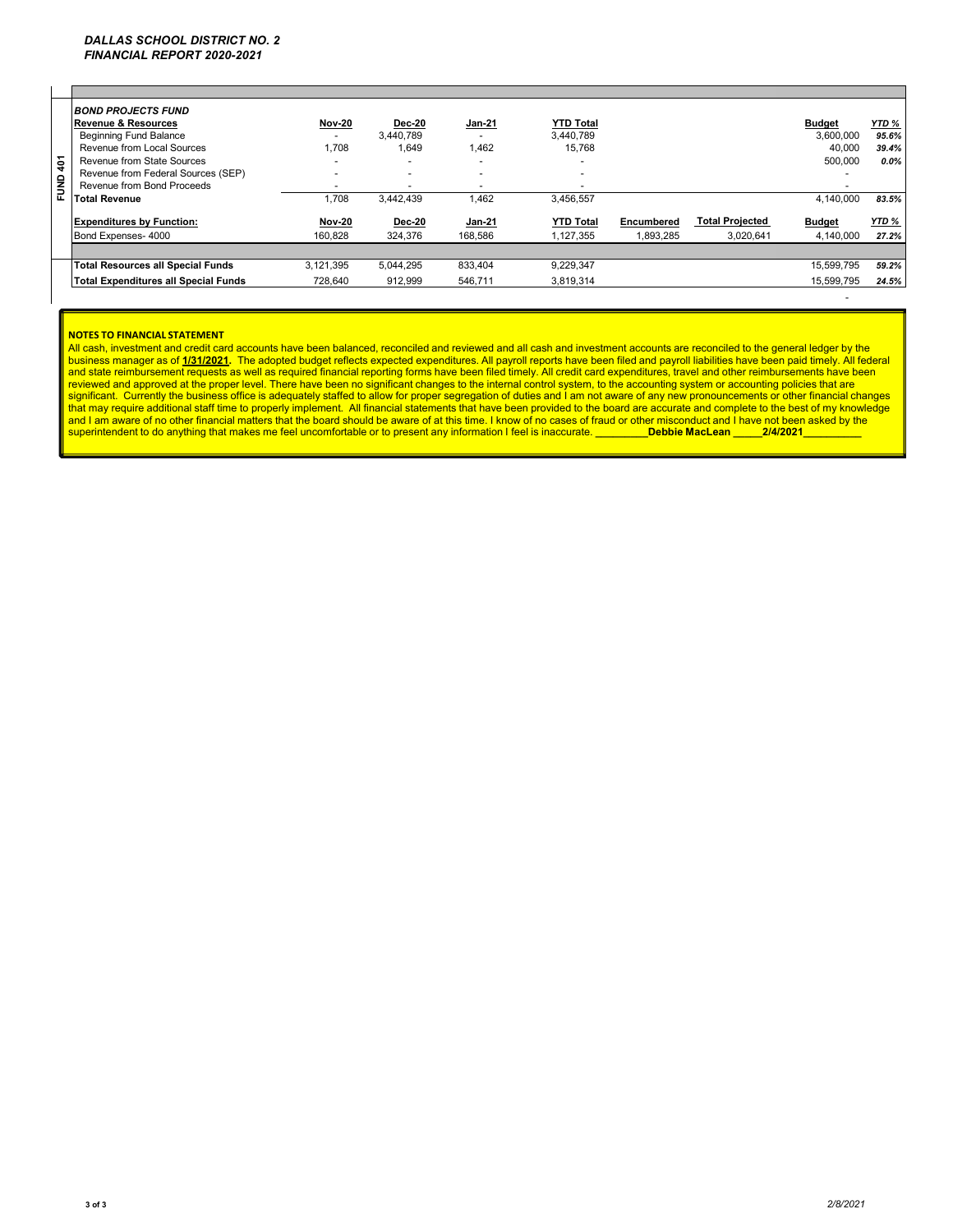| $\frac{2}{9}$<br>FUND | <b>BOND PROJECTS FUND</b><br><b>Revenue &amp; Resources</b><br><b>Beginning Fund Balance</b><br>Revenue from Local Sources<br>Revenue from State Sources<br>Revenue from Federal Sources (SEP)<br>Revenue from Bond Proceeds<br>Total Revenue | <b>Nov-20</b><br>1.708<br>-<br>$\overline{\phantom{0}}$<br>.708 | <b>Dec-20</b><br>3.440.789<br>1.649<br>3.442.439 | <b>Jan-21</b><br>1,462<br>$\overline{\phantom{0}}$<br>1,462 | <b>YTD Total</b><br>3.440.789<br>15.768<br>-<br>3,456,557 |                         |                                     | <b>Budget</b><br>3.600.000<br>40.000<br>500,000<br>4.140.000 | YTD %<br>95.6%<br>39.4%<br>$0.0\%$<br>83.5% |
|-----------------------|-----------------------------------------------------------------------------------------------------------------------------------------------------------------------------------------------------------------------------------------------|-----------------------------------------------------------------|--------------------------------------------------|-------------------------------------------------------------|-----------------------------------------------------------|-------------------------|-------------------------------------|--------------------------------------------------------------|---------------------------------------------|
|                       | <b>Expenditures by Function:</b><br>Bond Expenses- 4000                                                                                                                                                                                       | <b>Nov-20</b><br>160.828                                        | <b>Dec-20</b><br>324.376                         | <b>Jan-21</b><br>168.586                                    | <b>YTD Total</b><br>1.127.355                             | Encumbered<br>1.893.285 | <b>Total Projected</b><br>3.020.641 | <b>Budget</b><br>4.140.000                                   | YTD %<br>27.2%                              |
|                       |                                                                                                                                                                                                                                               |                                                                 |                                                  |                                                             |                                                           |                         |                                     |                                                              |                                             |
|                       | <b>Total Resources all Special Funds</b>                                                                                                                                                                                                      | 3.121.395                                                       | 5.044.295                                        | 833.404                                                     | 9,229,347                                                 |                         |                                     | 15.599.795                                                   | 59.2%                                       |
|                       | Total Expenditures all Special Funds                                                                                                                                                                                                          | 728,640                                                         | 912,999                                          | 546,711                                                     | 3,819,314                                                 |                         |                                     | 15.599.795                                                   | 24.5%                                       |

#### **NOTES TO FINANCIAL STATEMENT**

All cash, investment and credit card accounts have been balanced, reconciled and reviewed and all cash and investment accounts are reconciled to the general ledger by the business manager as of 1/31/2021. The adopted budget reflects expected expenditures. All payroll reports have been filed and payroll liabilities have been paid timely. All federal<br>and state reimbursement requests as well a superintendent to do anything that makes me feel uncomfortable or to present any information I feel is inaccurate. **\_\_\_\_\_\_\_\_Debbie MacLean \_\_\_\_\_2/4/2021** 

- 100 minutes